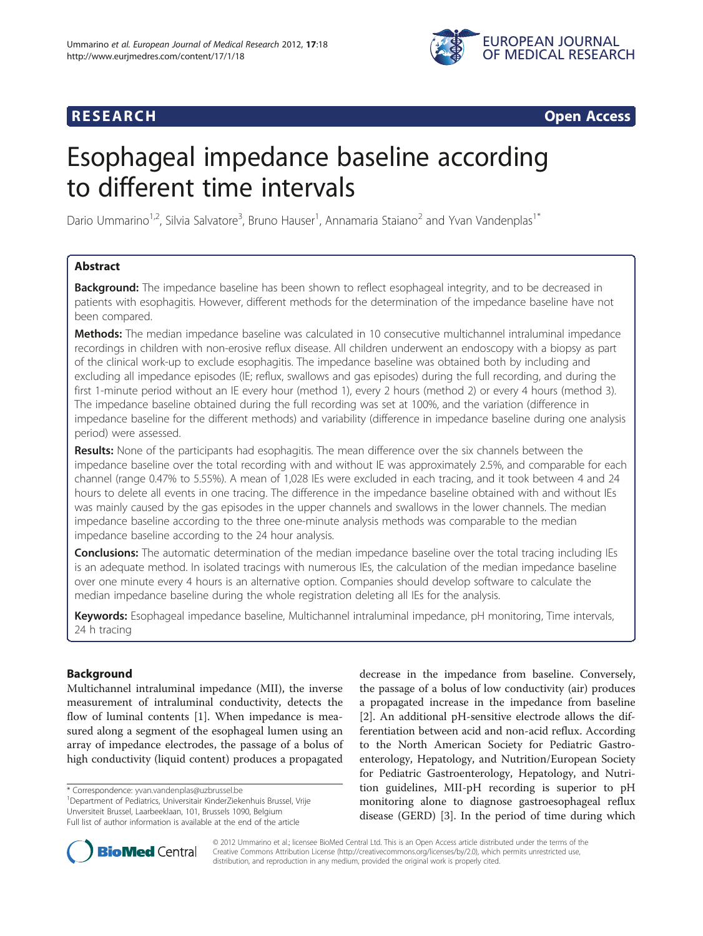

**RESEARCH RESEARCH CONSUMING ACCESS** 

# Esophageal impedance baseline according to different time intervals

Dario Ummarino<sup>1,2</sup>, Silvia Salvatore<sup>3</sup>, Bruno Hauser<sup>1</sup>, Annamaria Staiano<sup>2</sup> and Yvan Vandenplas<sup>1\*</sup>

# Abstract

**Background:** The impedance baseline has been shown to reflect esophageal integrity, and to be decreased in patients with esophagitis. However, different methods for the determination of the impedance baseline have not been compared.

Methods: The median impedance baseline was calculated in 10 consecutive multichannel intraluminal impedance recordings in children with non-erosive reflux disease. All children underwent an endoscopy with a biopsy as part of the clinical work-up to exclude esophagitis. The impedance baseline was obtained both by including and excluding all impedance episodes (IE; reflux, swallows and gas episodes) during the full recording, and during the first 1-minute period without an IE every hour (method 1), every 2 hours (method 2) or every 4 hours (method 3). The impedance baseline obtained during the full recording was set at 100%, and the variation (difference in impedance baseline for the different methods) and variability (difference in impedance baseline during one analysis period) were assessed.

Results: None of the participants had esophagitis. The mean difference over the six channels between the impedance baseline over the total recording with and without IE was approximately 2.5%, and comparable for each channel (range 0.47% to 5.55%). A mean of 1,028 IEs were excluded in each tracing, and it took between 4 and 24 hours to delete all events in one tracing. The difference in the impedance baseline obtained with and without IEs was mainly caused by the gas episodes in the upper channels and swallows in the lower channels. The median impedance baseline according to the three one-minute analysis methods was comparable to the median impedance baseline according to the 24 hour analysis.

**Conclusions:** The automatic determination of the median impedance baseline over the total tracing including IEs is an adequate method. In isolated tracings with numerous IEs, the calculation of the median impedance baseline over one minute every 4 hours is an alternative option. Companies should develop software to calculate the median impedance baseline during the whole registration deleting all IEs for the analysis.

Keywords: Esophageal impedance baseline, Multichannel intraluminal impedance, pH monitoring, Time intervals, 24 h tracing

# Background

Multichannel intraluminal impedance (MII), the inverse measurement of intraluminal conductivity, detects the flow of luminal contents [[1\]](#page-4-0). When impedance is measured along a segment of the esophageal lumen using an array of impedance electrodes, the passage of a bolus of high conductivity (liquid content) produces a propagated

<sup>1</sup>Department of Pediatrics, Universitair KinderZiekenhuis Brussel, Vrije Unversiteit Brussel, Laarbeeklaan, 101, Brussels 1090, Belgium Full list of author information is available at the end of the article

decrease in the impedance from baseline. Conversely, the passage of a bolus of low conductivity (air) produces a propagated increase in the impedance from baseline [[2\]](#page-4-0). An additional pH-sensitive electrode allows the differentiation between acid and non-acid reflux. According to the North American Society for Pediatric Gastroenterology, Hepatology, and Nutrition/European Society for Pediatric Gastroenterology, Hepatology, and Nutrition guidelines, MII-pH recording is superior to pH monitoring alone to diagnose gastroesophageal reflux disease (GERD) [\[3](#page-4-0)]. In the period of time during which



© 2012 Ummarino et al.; licensee BioMed Central Ltd. This is an Open Access article distributed under the terms of the Creative Commons Attribution License (<http://creativecommons.org/licenses/by/2.0>), which permits unrestricted use, distribution, and reproduction in any medium, provided the original work is properly cited.

<sup>\*</sup> Correspondence: [yvan.vandenplas@uzbrussel.be](mailto:yvan.vandenplas@uzbrussel.be) <sup>1</sup>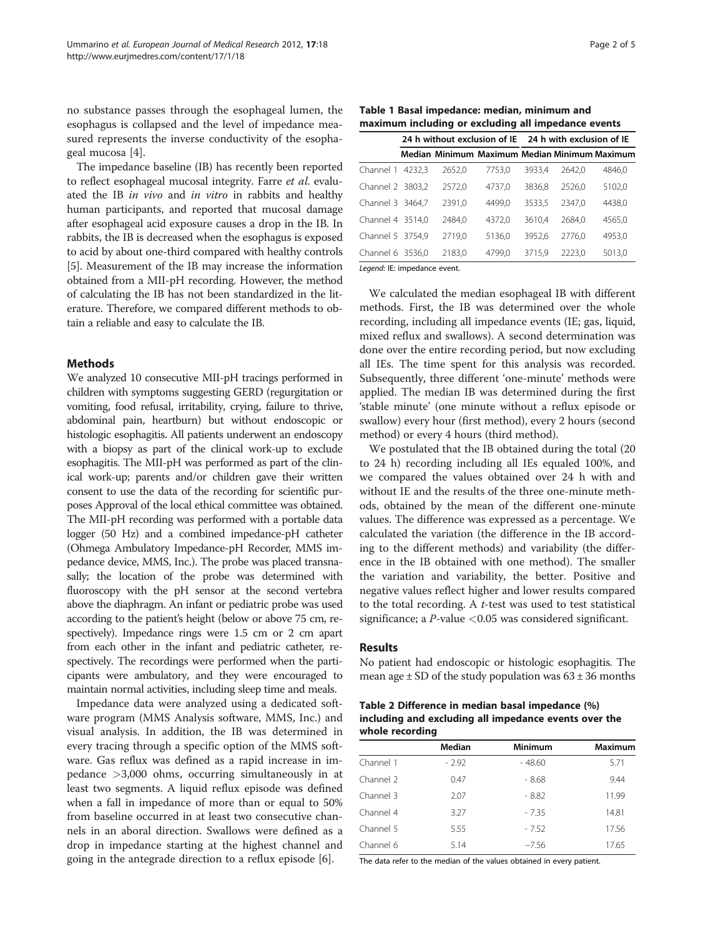<span id="page-1-0"></span>no substance passes through the esophageal lumen, the esophagus is collapsed and the level of impedance measured represents the inverse conductivity of the esophageal mucosa [[4\]](#page-4-0).

The impedance baseline (IB) has recently been reported to reflect esophageal mucosal integrity. Farre et al. evaluated the IB in vivo and in vitro in rabbits and healthy human participants, and reported that mucosal damage after esophageal acid exposure causes a drop in the IB. In rabbits, the IB is decreased when the esophagus is exposed to acid by about one-third compared with healthy controls [[5\]](#page-4-0). Measurement of the IB may increase the information obtained from a MII-pH recording. However, the method of calculating the IB has not been standardized in the literature. Therefore, we compared different methods to obtain a reliable and easy to calculate the IB.

#### Methods

We analyzed 10 consecutive MII-pH tracings performed in children with symptoms suggesting GERD (regurgitation or vomiting, food refusal, irritability, crying, failure to thrive, abdominal pain, heartburn) but without endoscopic or histologic esophagitis. All patients underwent an endoscopy with a biopsy as part of the clinical work-up to exclude esophagitis. The MII-pH was performed as part of the clinical work-up; parents and/or children gave their written consent to use the data of the recording for scientific purposes Approval of the local ethical committee was obtained. The MII-pH recording was performed with a portable data logger (50 Hz) and a combined impedance-pH catheter (Ohmega Ambulatory Impedance-pH Recorder, MMS impedance device, MMS, Inc.). The probe was placed transnasally; the location of the probe was determined with fluoroscopy with the pH sensor at the second vertebra above the diaphragm. An infant or pediatric probe was used according to the patient's height (below or above 75 cm, respectively). Impedance rings were 1.5 cm or 2 cm apart from each other in the infant and pediatric catheter, respectively. The recordings were performed when the participants were ambulatory, and they were encouraged to maintain normal activities, including sleep time and meals.

Impedance data were analyzed using a dedicated software program (MMS Analysis software, MMS, Inc.) and visual analysis. In addition, the IB was determined in every tracing through a specific option of the MMS software. Gas reflux was defined as a rapid increase in impedance >3,000 ohms, occurring simultaneously in at least two segments. A liquid reflux episode was defined when a fall in impedance of more than or equal to 50% from baseline occurred in at least two consecutive channels in an aboral direction. Swallows were defined as a drop in impedance starting at the highest channel and going in the antegrade direction to a reflux episode [\[6\]](#page-4-0).

|                              | 24 h without exclusion of IE 24 h with exclusion of IE |        |                                               |        |        |        |
|------------------------------|--------------------------------------------------------|--------|-----------------------------------------------|--------|--------|--------|
|                              |                                                        |        | Median Minimum Maximum Median Minimum Maximum |        |        |        |
| Channel 1                    | 4232.3                                                 | 2652.0 | 7753,0                                        | 3933.4 | 2642.0 | 4846.0 |
| Channel 2 3803,2             |                                                        | 2572,0 | 4737,0                                        | 3836,8 | 2526.0 | 5102,0 |
| Channel 3 3464,7             |                                                        | 2391.0 | 4499.0                                        | 3533.5 | 2347.0 | 4438.0 |
| Channel 4 3514,0             |                                                        | 2484.0 | 4372,0                                        | 3610.4 | 2684.0 | 4565,0 |
| Channel 5 3754,9             |                                                        | 2719.0 | 5136,0                                        | 3952.6 | 2776.0 | 4953.0 |
| Channel 6 3536.0             |                                                        | 2183.0 | 4799,0                                        | 3715.9 | 2223.0 | 5013,0 |
| Legend: IE: impedance event. |                                                        |        |                                               |        |        |        |

We calculated the median esophageal IB with different methods. First, the IB was determined over the whole recording, including all impedance events (IE; gas, liquid, mixed reflux and swallows). A second determination was done over the entire recording period, but now excluding all IEs. The time spent for this analysis was recorded. Subsequently, three different 'one-minute' methods were applied. The median IB was determined during the first 'stable minute' (one minute without a reflux episode or swallow) every hour (first method), every 2 hours (second method) or every 4 hours (third method).

We postulated that the IB obtained during the total (20 to 24 h) recording including all IEs equaled 100%, and we compared the values obtained over 24 h with and without IE and the results of the three one-minute methods, obtained by the mean of the different one-minute values. The difference was expressed as a percentage. We calculated the variation (the difference in the IB according to the different methods) and variability (the difference in the IB obtained with one method). The smaller the variation and variability, the better. Positive and negative values reflect higher and lower results compared to the total recording. A  $t$ -test was used to test statistical significance; a  $P$ -value  $< 0.05$  was considered significant.

#### Results

No patient had endoscopic or histologic esophagitis. The mean age  $\pm$  SD of the study population was 63  $\pm$  36 months

| Table 2 Difference in median basal impedance (%)      |  |  |  |  |  |  |  |
|-------------------------------------------------------|--|--|--|--|--|--|--|
| including and excluding all impedance events over the |  |  |  |  |  |  |  |
| whole recordina                                       |  |  |  |  |  |  |  |

|           | Median  | <b>Minimum</b> | <b>Maximum</b> |
|-----------|---------|----------------|----------------|
| Channel 1 | $-2.92$ | $-48.60$       | 5.71           |
| Channel 2 | 0.47    | $-8.68$        | 9.44           |
| Channel 3 | 2.07    | $-8.82$        | 11.99          |
| Channel 4 | 3.27    | $-7.35$        | 14.81          |
| Channel 5 | 5.55    | $-7.52$        | 17.56          |
| Channel 6 | 5.14    | $-7.56$        | 17.65          |

The data refer to the median of the values obtained in every patient.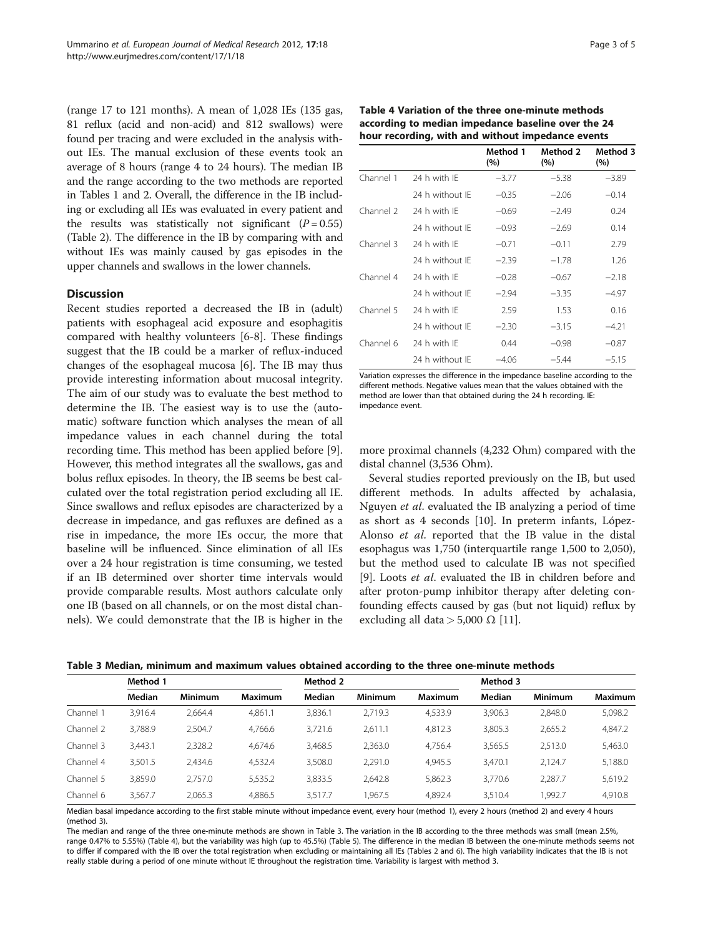<span id="page-2-0"></span>(range 17 to 121 months). A mean of 1,028 IEs (135 gas, 81 reflux (acid and non-acid) and 812 swallows) were found per tracing and were excluded in the analysis without IEs. The manual exclusion of these events took an average of 8 hours (range 4 to 24 hours). The median IB and the range according to the two methods are reported in Tables [1](#page-1-0) and [2](#page-1-0). Overall, the difference in the IB including or excluding all IEs was evaluated in every patient and the results was statistically not significant  $(P = 0.55)$ (Table [2](#page-1-0)). The difference in the IB by comparing with and without IEs was mainly caused by gas episodes in the upper channels and swallows in the lower channels.

### **Discussion**

Recent studies reported a decreased the IB in (adult) patients with esophageal acid exposure and esophagitis compared with healthy volunteers [[6-8](#page-4-0)]. These findings suggest that the IB could be a marker of reflux-induced changes of the esophageal mucosa [\[6](#page-4-0)]. The IB may thus provide interesting information about mucosal integrity. The aim of our study was to evaluate the best method to determine the IB. The easiest way is to use the (automatic) software function which analyses the mean of all impedance values in each channel during the total recording time. This method has been applied before [\[9](#page-4-0)]. However, this method integrates all the swallows, gas and bolus reflux episodes. In theory, the IB seems be best calculated over the total registration period excluding all IE. Since swallows and reflux episodes are characterized by a decrease in impedance, and gas refluxes are defined as a rise in impedance, the more IEs occur, the more that baseline will be influenced. Since elimination of all IEs over a 24 hour registration is time consuming, we tested if an IB determined over shorter time intervals would provide comparable results. Most authors calculate only one IB (based on all channels, or on the most distal channels). We could demonstrate that the IB is higher in the

| Table 4 Variation of the three one-minute methods  |
|----------------------------------------------------|
| according to median impedance baseline over the 24 |
| hour recording, with and without impedance events  |

|           |                 | Method 1<br>(%) | Method 2<br>(%) | Method 3<br>(%) |
|-----------|-----------------|-----------------|-----------------|-----------------|
| Channel 1 | 24 h with IF    | $-3.77$         | $-5.38$         | $-3.89$         |
|           | 24 h without IF | $-0.35$         | $-2.06$         | $-0.14$         |
| Channel 2 | 24 h with IF    | $-0.69$         | $-2.49$         | 0.24            |
|           | 24 h without IF | $-0.93$         | $-2.69$         | 0.14            |
| Channel 3 | 24 h with IF    | $-0.71$         | $-0.11$         | 2.79            |
|           | 24 h without IF | $-2.39$         | $-1.78$         | 1.26            |
| Channel 4 | 24 h with IF    | $-0.28$         | $-0.67$         | $-2.18$         |
|           | 24 h without IF | $-2.94$         | $-3.35$         | $-4.97$         |
| Channel 5 | 24 h with IF    | 2.59            | 1.53            | 0.16            |
|           | 24 h without IF | $-2.30$         | $-3.15$         | $-4.21$         |
| Channel 6 | 24 h with IF    | 0.44            | $-0.98$         | $-0.87$         |
|           | 24 h without IF | $-4.06$         | $-5.44$         | $-5.15$         |

Variation expresses the difference in the impedance baseline according to the different methods. Negative values mean that the values obtained with the method are lower than that obtained during the 24 h recording. IE: impedance event.

more proximal channels (4,232 Ohm) compared with the distal channel (3,536 Ohm).

Several studies reported previously on the IB, but used different methods. In adults affected by achalasia, Nguyen et al. evaluated the IB analyzing a period of time as short as 4 seconds [[10](#page-4-0)]. In preterm infants, López-Alonso et al. reported that the IB value in the distal esophagus was 1,750 (interquartile range 1,500 to 2,050), but the method used to calculate IB was not specified [[9\]](#page-4-0). Loots et al. evaluated the IB in children before and after proton-pump inhibitor therapy after deleting confounding effects caused by gas (but not liquid) reflux by excluding all data  $> 5,000 \Omega$  [\[11](#page-4-0)].

| Table 3 Median, minimum and maximum values obtained according to the three one-minute methods |  |  |
|-----------------------------------------------------------------------------------------------|--|--|
|-----------------------------------------------------------------------------------------------|--|--|

|           | Method 1 |                |                |         | Method 2       |                |         | Method 3       |                |  |
|-----------|----------|----------------|----------------|---------|----------------|----------------|---------|----------------|----------------|--|
|           | Median   | <b>Minimum</b> | <b>Maximum</b> | Median  | <b>Minimum</b> | <b>Maximum</b> | Median  | <b>Minimum</b> | <b>Maximum</b> |  |
| Channel 1 | 3.916.4  | 2.664.4        | 4.861.1        | 3,836.1 | 2.719.3        | 4.533.9        | 3,906.3 | 2,848.0        | 5,098.2        |  |
| Channel 2 | 3,788.9  | 2.504.7        | 4,766.6        | 3,721.6 | 2.611.1        | 4,812.3        | 3,805.3 | 2,655.2        | 4,847.2        |  |
| Channel 3 | 3,443.1  | 2,328.2        | 4.674.6        | 3,468.5 | 2,363.0        | 4.756.4        | 3,565.5 | 2,513.0        | 5,463.0        |  |
| Channel 4 | 3.501.5  | 2.434.6        | 4.532.4        | 3.508.0 | 2.291.0        | 4.945.5        | 3.470.1 | 2.124.7        | 5,188.0        |  |
| Channel 5 | 3,859.0  | 2.757.0        | 5,535.2        | 3,833.5 | 2.642.8        | 5,862.3        | 3.770.6 | 2.287.7        | 5,619.2        |  |
| Channel 6 | 3,567.7  | 2,065.3        | 4,886.5        | 3,517.7 | 1,967.5        | 4,892.4        | 3.510.4 | 1.992.7        | 4,910.8        |  |

Median basal impedance according to the first stable minute without impedance event, every hour (method 1), every 2 hours (method 2) and every 4 hours (method 3).

The median and range of the three one-minute methods are shown in Table 3. The variation in the IB according to the three methods was small (mean 2.5%, range 0.47% to 5.55%) (Table 4), but the variability was high (up to 45.5%) (Table [5](#page-3-0)). The difference in the median IB between the one-minute methods seems not to differ if compared with the IB over the total registration when excluding or maintaining all IEs (Tables [2](#page-1-0) and [6](#page-3-0)). The high variability indicates that the IB is not really stable during a period of one minute without IE throughout the registration time. Variability is largest with method 3.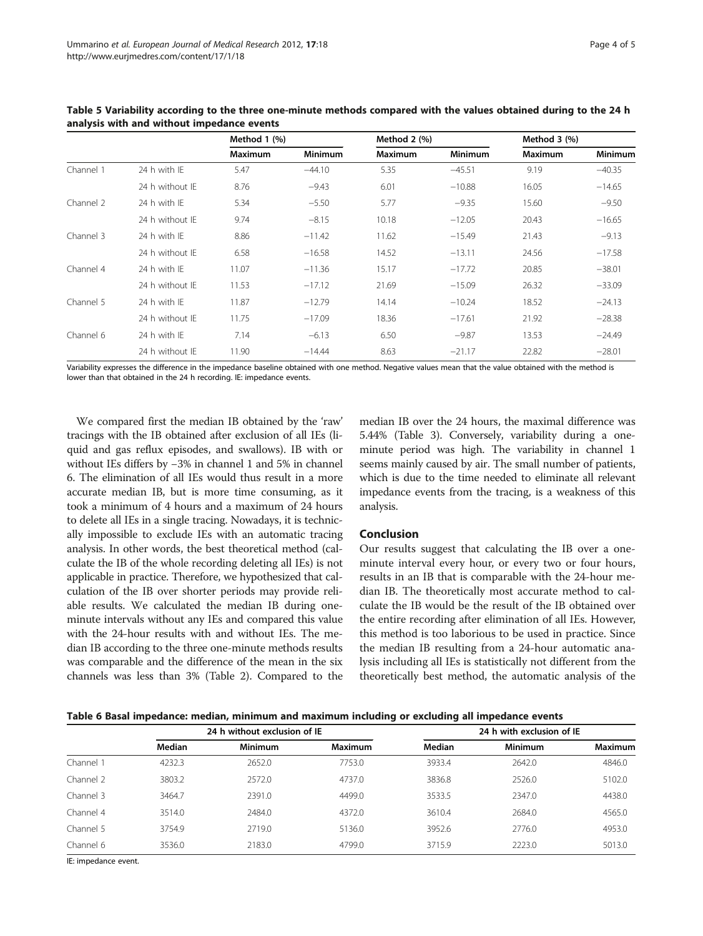|           |                 | Method 1 (%)   |                |                | Method 2 (%)   |                | Method 3 (%)   |
|-----------|-----------------|----------------|----------------|----------------|----------------|----------------|----------------|
|           |                 | <b>Maximum</b> | <b>Minimum</b> | <b>Maximum</b> | <b>Minimum</b> | <b>Maximum</b> | <b>Minimum</b> |
| Channel 1 | 24 h with IE    | 5.47           | $-44.10$       | 5.35           | $-45.51$       | 9.19           | $-40.35$       |
|           | 24 h without IF | 8.76           | $-9.43$        | 6.01           | $-10.88$       | 16.05          | $-14.65$       |
| Channel 2 | 24 h with IE    | 5.34           | $-5.50$        | 5.77           | $-9.35$        | 15.60          | $-9.50$        |
|           | 24 h without IE | 9.74           | $-8.15$        | 10.18          | $-12.05$       | 20.43          | $-16.65$       |
| Channel 3 | 24 h with IE    | 8.86           | $-11.42$       | 11.62          | $-15.49$       | 21.43          | $-9.13$        |
|           | 24 h without IF | 6.58           | $-16.58$       | 14.52          | $-13.11$       | 24.56          | $-17.58$       |
| Channel 4 | 24 h with IE    | 11.07          | $-11.36$       | 15.17          | $-17.72$       | 20.85          | $-38.01$       |
|           | 24 h without IE | 11.53          | $-17.12$       | 21.69          | $-15.09$       | 26.32          | $-33.09$       |
| Channel 5 | 24 h with IE    | 11.87          | $-12.79$       | 14.14          | $-10.24$       | 18.52          | $-24.13$       |
|           | 24 h without IE | 11.75          | $-17.09$       | 18.36          | $-17.61$       | 21.92          | $-28.38$       |
| Channel 6 | 24 h with IE    | 7.14           | $-6.13$        | 6.50           | $-9.87$        | 13.53          | $-24.49$       |
|           | 24 h without IE | 11.90          | $-14.44$       | 8.63           | $-21.17$       | 22.82          | $-28.01$       |

<span id="page-3-0"></span>Table 5 Variability according to the three one-minute methods compared with the values obtained during to the 24 h analysis with and without impedance events

Variability expresses the difference in the impedance baseline obtained with one method. Negative values mean that the value obtained with the method is lower than that obtained in the 24 h recording. IE: impedance events.

We compared first the median IB obtained by the 'raw' tracings with the IB obtained after exclusion of all IEs (liquid and gas reflux episodes, and swallows). IB with or without IEs differs by −3% in channel 1 and 5% in channel 6. The elimination of all IEs would thus result in a more accurate median IB, but is more time consuming, as it took a minimum of 4 hours and a maximum of 24 hours to delete all IEs in a single tracing. Nowadays, it is technically impossible to exclude IEs with an automatic tracing analysis. In other words, the best theoretical method (calculate the IB of the whole recording deleting all IEs) is not applicable in practice. Therefore, we hypothesized that calculation of the IB over shorter periods may provide reliable results. We calculated the median IB during oneminute intervals without any IEs and compared this value with the 24-hour results with and without IEs. The median IB according to the three one-minute methods results was comparable and the difference of the mean in the six channels was less than 3% (Table [2](#page-1-0)). Compared to the median IB over the 24 hours, the maximal difference was 5.44% (Table [3\)](#page-2-0). Conversely, variability during a oneminute period was high. The variability in channel 1 seems mainly caused by air. The small number of patients, which is due to the time needed to eliminate all relevant impedance events from the tracing, is a weakness of this analysis.

#### Conclusion

Our results suggest that calculating the IB over a oneminute interval every hour, or every two or four hours, results in an IB that is comparable with the 24-hour median IB. The theoretically most accurate method to calculate the IB would be the result of the IB obtained over the entire recording after elimination of all IEs. However, this method is too laborious to be used in practice. Since the median IB resulting from a 24-hour automatic analysis including all IEs is statistically not different from the theoretically best method, the automatic analysis of the

| Table 6 Basal impedance: median, minimum and maximum including or excluding all impedance events |  |  |  |  |  |  |
|--------------------------------------------------------------------------------------------------|--|--|--|--|--|--|
|--------------------------------------------------------------------------------------------------|--|--|--|--|--|--|

|           | 24 h without exclusion of IE |         |                | 24 h with exclusion of IE |         |                |
|-----------|------------------------------|---------|----------------|---------------------------|---------|----------------|
|           | Median                       | Minimum | <b>Maximum</b> | Median                    | Minimum | <b>Maximum</b> |
| Channel 1 | 4232.3                       | 2652.0  | 7753.0         | 3933.4                    | 2642.0  | 4846.0         |
| Channel 2 | 3803.2                       | 2572.0  | 4737.0         | 3836.8                    | 2526.0  | 5102.0         |
| Channel 3 | 3464.7                       | 2391.0  | 4499.0         | 3533.5                    | 2347.0  | 4438.0         |
| Channel 4 | 3514.0                       | 2484.0  | 4372.0         | 3610.4                    | 2684.0  | 4565.0         |
| Channel 5 | 3754.9                       | 2719.0  | 5136.0         | 3952.6                    | 2776.0  | 4953.0         |
| Channel 6 | 3536.0                       | 2183.0  | 4799.0         | 3715.9                    | 2223.0  | 5013.0         |

IE: impedance event.